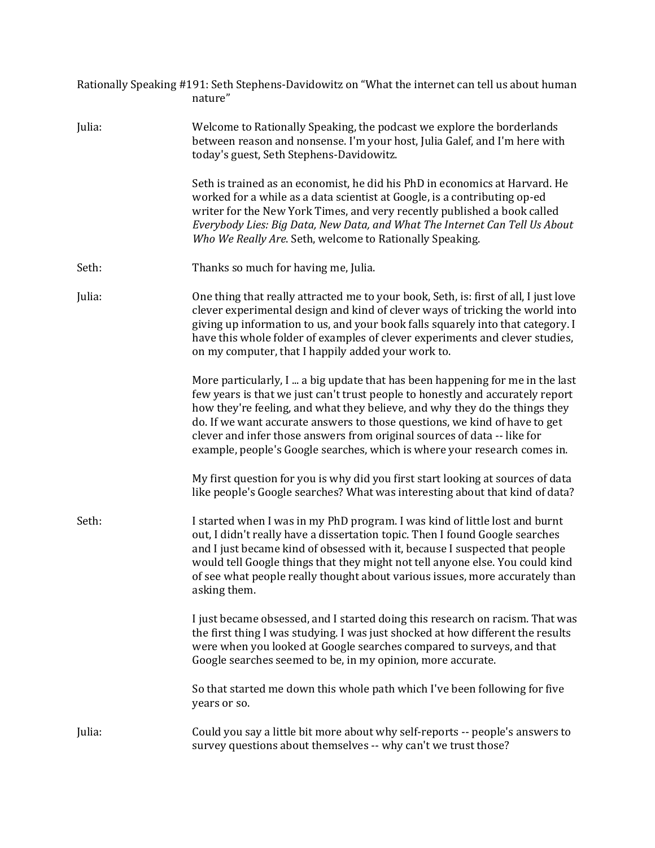|        | Rationally Speaking #191: Seth Stephens-Davidowitz on "What the internet can tell us about human<br>nature"                                                                                                                                                                                                                                                                                                                                                                           |
|--------|---------------------------------------------------------------------------------------------------------------------------------------------------------------------------------------------------------------------------------------------------------------------------------------------------------------------------------------------------------------------------------------------------------------------------------------------------------------------------------------|
| Julia: | Welcome to Rationally Speaking, the podcast we explore the borderlands<br>between reason and nonsense. I'm your host, Julia Galef, and I'm here with<br>today's guest, Seth Stephens-Davidowitz.                                                                                                                                                                                                                                                                                      |
|        | Seth is trained as an economist, he did his PhD in economics at Harvard. He<br>worked for a while as a data scientist at Google, is a contributing op-ed<br>writer for the New York Times, and very recently published a book called<br>Everybody Lies: Big Data, New Data, and What The Internet Can Tell Us About<br>Who We Really Are. Seth, welcome to Rationally Speaking.                                                                                                       |
| Seth:  | Thanks so much for having me, Julia.                                                                                                                                                                                                                                                                                                                                                                                                                                                  |
| Julia: | One thing that really attracted me to your book, Seth, is: first of all, I just love<br>clever experimental design and kind of clever ways of tricking the world into<br>giving up information to us, and your book falls squarely into that category. I<br>have this whole folder of examples of clever experiments and clever studies,<br>on my computer, that I happily added your work to.                                                                                        |
|        | More particularly, I  a big update that has been happening for me in the last<br>few years is that we just can't trust people to honestly and accurately report<br>how they're feeling, and what they believe, and why they do the things they<br>do. If we want accurate answers to those questions, we kind of have to get<br>clever and infer those answers from original sources of data -- like for<br>example, people's Google searches, which is where your research comes in. |
|        | My first question for you is why did you first start looking at sources of data<br>like people's Google searches? What was interesting about that kind of data?                                                                                                                                                                                                                                                                                                                       |
| Seth:  | I started when I was in my PhD program. I was kind of little lost and burnt<br>out, I didn't really have a dissertation topic. Then I found Google searches<br>and I just became kind of obsessed with it, because I suspected that people<br>would tell Google things that they might not tell anyone else. You could kind<br>of see what people really thought about various issues, more accurately than<br>asking them.                                                           |
|        | I just became obsessed, and I started doing this research on racism. That was<br>the first thing I was studying. I was just shocked at how different the results<br>were when you looked at Google searches compared to surveys, and that<br>Google searches seemed to be, in my opinion, more accurate.                                                                                                                                                                              |
|        | So that started me down this whole path which I've been following for five<br>years or so.                                                                                                                                                                                                                                                                                                                                                                                            |
| Julia: | Could you say a little bit more about why self-reports -- people's answers to<br>survey questions about themselves -- why can't we trust those?                                                                                                                                                                                                                                                                                                                                       |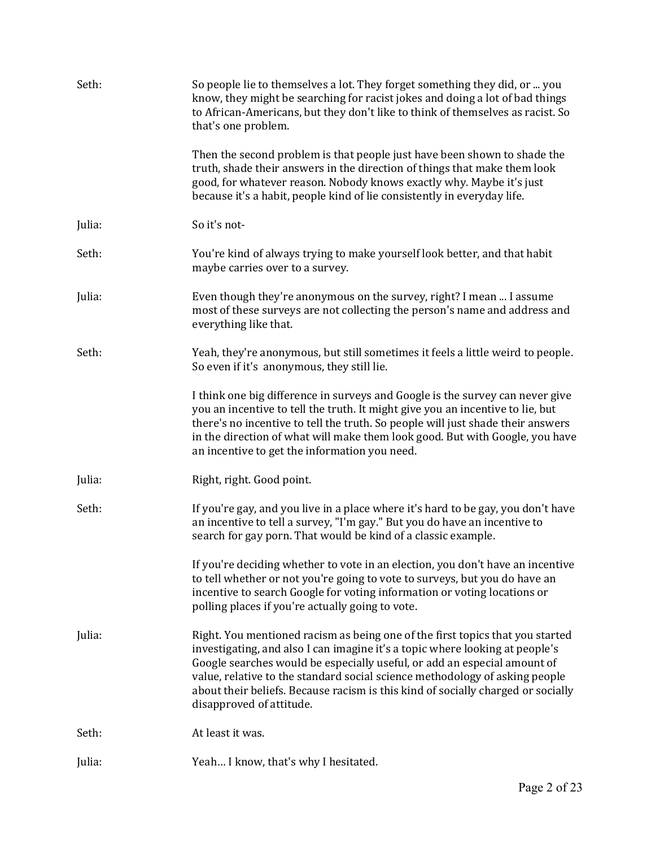| Seth:  | So people lie to themselves a lot. They forget something they did, or  you<br>know, they might be searching for racist jokes and doing a lot of bad things<br>to African-Americans, but they don't like to think of themselves as racist. So<br>that's one problem.                                                                                                                                                                      |
|--------|------------------------------------------------------------------------------------------------------------------------------------------------------------------------------------------------------------------------------------------------------------------------------------------------------------------------------------------------------------------------------------------------------------------------------------------|
|        | Then the second problem is that people just have been shown to shade the<br>truth, shade their answers in the direction of things that make them look<br>good, for whatever reason. Nobody knows exactly why. Maybe it's just<br>because it's a habit, people kind of lie consistently in everyday life.                                                                                                                                 |
| Julia: | So it's not-                                                                                                                                                                                                                                                                                                                                                                                                                             |
| Seth:  | You're kind of always trying to make yourself look better, and that habit<br>maybe carries over to a survey.                                                                                                                                                                                                                                                                                                                             |
| Julia: | Even though they're anonymous on the survey, right? I mean  I assume<br>most of these surveys are not collecting the person's name and address and<br>everything like that.                                                                                                                                                                                                                                                              |
| Seth:  | Yeah, they're anonymous, but still sometimes it feels a little weird to people.<br>So even if it's anonymous, they still lie.                                                                                                                                                                                                                                                                                                            |
|        | I think one big difference in surveys and Google is the survey can never give<br>you an incentive to tell the truth. It might give you an incentive to lie, but<br>there's no incentive to tell the truth. So people will just shade their answers<br>in the direction of what will make them look good. But with Google, you have<br>an incentive to get the information you need.                                                      |
| Julia: | Right, right. Good point.                                                                                                                                                                                                                                                                                                                                                                                                                |
| Seth:  | If you're gay, and you live in a place where it's hard to be gay, you don't have<br>an incentive to tell a survey, "I'm gay." But you do have an incentive to<br>search for gay porn. That would be kind of a classic example.                                                                                                                                                                                                           |
|        | If you're deciding whether to vote in an election, you don't have an incentive<br>to tell whether or not you're going to vote to surveys, but you do have an<br>incentive to search Google for voting information or voting locations or<br>polling places if you're actually going to vote.                                                                                                                                             |
| Julia: | Right. You mentioned racism as being one of the first topics that you started<br>investigating, and also I can imagine it's a topic where looking at people's<br>Google searches would be especially useful, or add an especial amount of<br>value, relative to the standard social science methodology of asking people<br>about their beliefs. Because racism is this kind of socially charged or socially<br>disapproved of attitude. |
| Seth:  | At least it was.                                                                                                                                                                                                                                                                                                                                                                                                                         |
| Julia: | Yeah I know, that's why I hesitated.                                                                                                                                                                                                                                                                                                                                                                                                     |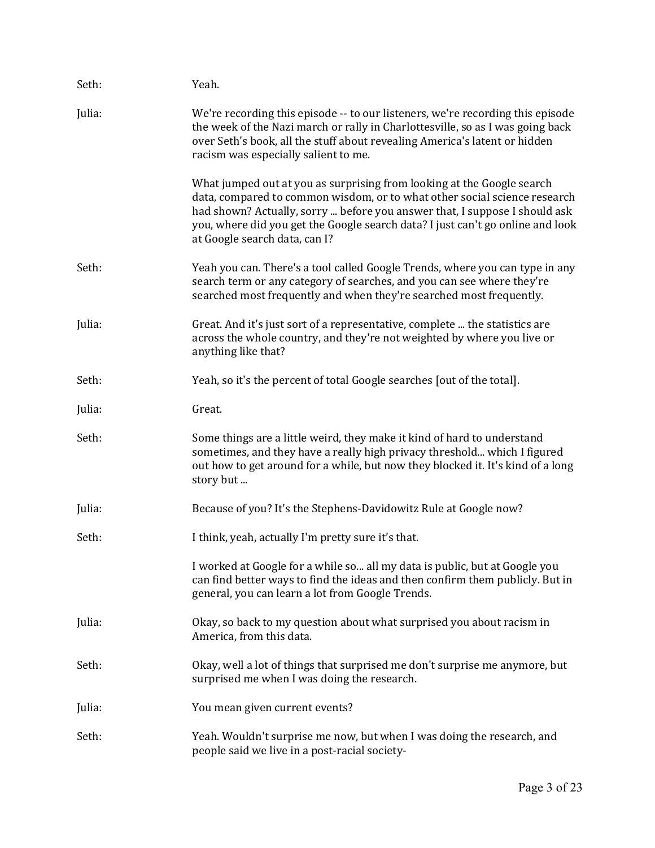| Seth:  | Yeah.                                                                                                                                                                                                                                                                                                                                                |
|--------|------------------------------------------------------------------------------------------------------------------------------------------------------------------------------------------------------------------------------------------------------------------------------------------------------------------------------------------------------|
| Julia: | We're recording this episode -- to our listeners, we're recording this episode<br>the week of the Nazi march or rally in Charlottesville, so as I was going back<br>over Seth's book, all the stuff about revealing America's latent or hidden<br>racism was especially salient to me.                                                               |
|        | What jumped out at you as surprising from looking at the Google search<br>data, compared to common wisdom, or to what other social science research<br>had shown? Actually, sorry  before you answer that, I suppose I should ask<br>you, where did you get the Google search data? I just can't go online and look<br>at Google search data, can I? |
| Seth:  | Yeah you can. There's a tool called Google Trends, where you can type in any<br>search term or any category of searches, and you can see where they're<br>searched most frequently and when they're searched most frequently.                                                                                                                        |
| Julia: | Great. And it's just sort of a representative, complete  the statistics are<br>across the whole country, and they're not weighted by where you live or<br>anything like that?                                                                                                                                                                        |
| Seth:  | Yeah, so it's the percent of total Google searches [out of the total].                                                                                                                                                                                                                                                                               |
| Julia: | Great.                                                                                                                                                                                                                                                                                                                                               |
| Seth:  | Some things are a little weird, they make it kind of hard to understand<br>sometimes, and they have a really high privacy threshold which I figured<br>out how to get around for a while, but now they blocked it. It's kind of a long<br>story but                                                                                                  |
| Julia: | Because of you? It's the Stephens-Davidowitz Rule at Google now?                                                                                                                                                                                                                                                                                     |
| Seth:  | I think, yeah, actually I'm pretty sure it's that.                                                                                                                                                                                                                                                                                                   |
|        | I worked at Google for a while so all my data is public, but at Google you<br>can find better ways to find the ideas and then confirm them publicly. But in<br>general, you can learn a lot from Google Trends.                                                                                                                                      |
| Julia: | Okay, so back to my question about what surprised you about racism in<br>America, from this data.                                                                                                                                                                                                                                                    |
| Seth:  | Okay, well a lot of things that surprised me don't surprise me anymore, but<br>surprised me when I was doing the research.                                                                                                                                                                                                                           |
| Julia: | You mean given current events?                                                                                                                                                                                                                                                                                                                       |
| Seth:  | Yeah. Wouldn't surprise me now, but when I was doing the research, and<br>people said we live in a post-racial society-                                                                                                                                                                                                                              |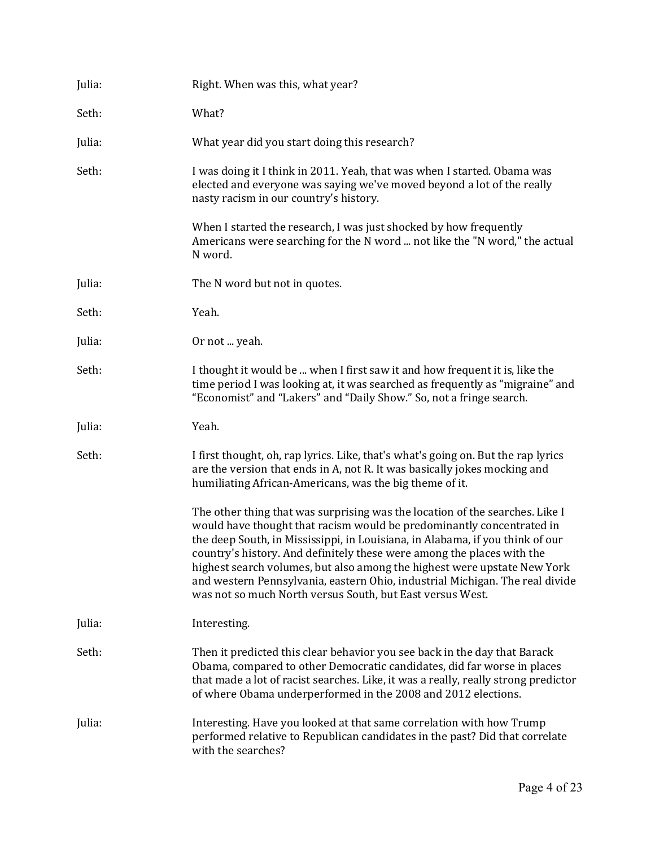| Julia: | Right. When was this, what year?                                                                                                                                                                                                                                                                                                                                                                                                                                                                                                          |
|--------|-------------------------------------------------------------------------------------------------------------------------------------------------------------------------------------------------------------------------------------------------------------------------------------------------------------------------------------------------------------------------------------------------------------------------------------------------------------------------------------------------------------------------------------------|
| Seth:  | What?                                                                                                                                                                                                                                                                                                                                                                                                                                                                                                                                     |
| Julia: | What year did you start doing this research?                                                                                                                                                                                                                                                                                                                                                                                                                                                                                              |
| Seth:  | I was doing it I think in 2011. Yeah, that was when I started. Obama was<br>elected and everyone was saying we've moved beyond a lot of the really<br>nasty racism in our country's history.                                                                                                                                                                                                                                                                                                                                              |
|        | When I started the research, I was just shocked by how frequently<br>Americans were searching for the N word  not like the "N word," the actual<br>N word.                                                                                                                                                                                                                                                                                                                                                                                |
| Julia: | The N word but not in quotes.                                                                                                                                                                                                                                                                                                                                                                                                                                                                                                             |
| Seth:  | Yeah.                                                                                                                                                                                                                                                                                                                                                                                                                                                                                                                                     |
| Julia: | Or not  yeah.                                                                                                                                                                                                                                                                                                                                                                                                                                                                                                                             |
| Seth:  | I thought it would be  when I first saw it and how frequent it is, like the<br>time period I was looking at, it was searched as frequently as "migraine" and<br>"Economist" and "Lakers" and "Daily Show." So, not a fringe search.                                                                                                                                                                                                                                                                                                       |
| Julia: | Yeah.                                                                                                                                                                                                                                                                                                                                                                                                                                                                                                                                     |
| Seth:  | I first thought, oh, rap lyrics. Like, that's what's going on. But the rap lyrics<br>are the version that ends in A, not R. It was basically jokes mocking and<br>humiliating African-Americans, was the big theme of it.                                                                                                                                                                                                                                                                                                                 |
|        | The other thing that was surprising was the location of the searches. Like I<br>would have thought that racism would be predominantly concentrated in<br>the deep South, in Mississippi, in Louisiana, in Alabama, if you think of our<br>country's history. And definitely these were among the places with the<br>highest search volumes, but also among the highest were upstate New York<br>and western Pennsylvania, eastern Ohio, industrial Michigan. The real divide<br>was not so much North versus South, but East versus West. |
| Julia: | Interesting.                                                                                                                                                                                                                                                                                                                                                                                                                                                                                                                              |
| Seth:  | Then it predicted this clear behavior you see back in the day that Barack<br>Obama, compared to other Democratic candidates, did far worse in places<br>that made a lot of racist searches. Like, it was a really, really strong predictor<br>of where Obama underperformed in the 2008 and 2012 elections.                                                                                                                                                                                                                               |
| Julia: | Interesting. Have you looked at that same correlation with how Trump<br>performed relative to Republican candidates in the past? Did that correlate<br>with the searches?                                                                                                                                                                                                                                                                                                                                                                 |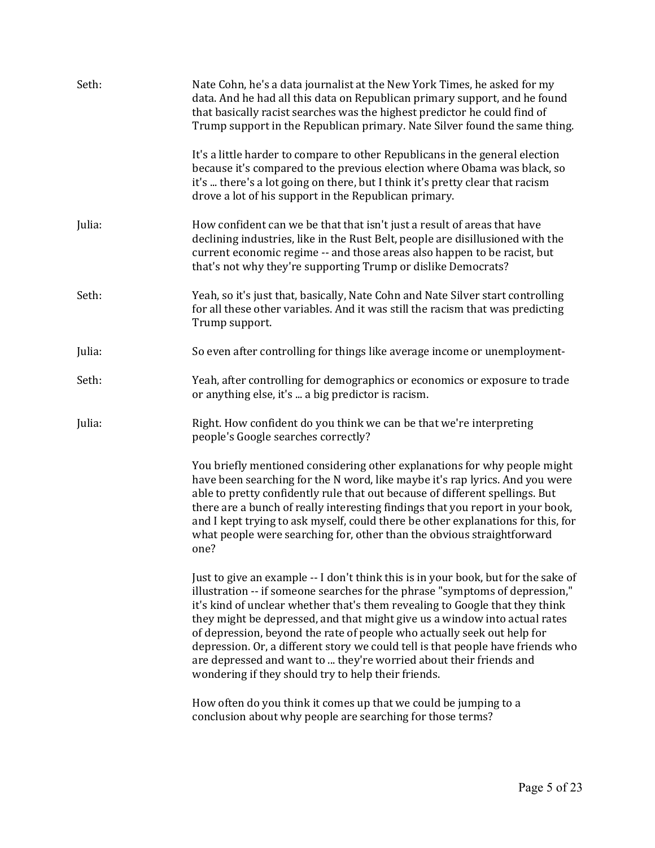| Seth:  | Nate Cohn, he's a data journalist at the New York Times, he asked for my<br>data. And he had all this data on Republican primary support, and he found<br>that basically racist searches was the highest predictor he could find of<br>Trump support in the Republican primary. Nate Silver found the same thing.                                                                                                                                                                                                                                                                                                           |  |
|--------|-----------------------------------------------------------------------------------------------------------------------------------------------------------------------------------------------------------------------------------------------------------------------------------------------------------------------------------------------------------------------------------------------------------------------------------------------------------------------------------------------------------------------------------------------------------------------------------------------------------------------------|--|
|        | It's a little harder to compare to other Republicans in the general election<br>because it's compared to the previous election where Obama was black, so<br>it's  there's a lot going on there, but I think it's pretty clear that racism<br>drove a lot of his support in the Republican primary.                                                                                                                                                                                                                                                                                                                          |  |
| Julia: | How confident can we be that that isn't just a result of areas that have<br>declining industries, like in the Rust Belt, people are disillusioned with the<br>current economic regime -- and those areas also happen to be racist, but<br>that's not why they're supporting Trump or dislike Democrats?                                                                                                                                                                                                                                                                                                                     |  |
| Seth:  | Yeah, so it's just that, basically, Nate Cohn and Nate Silver start controlling<br>for all these other variables. And it was still the racism that was predicting<br>Trump support.                                                                                                                                                                                                                                                                                                                                                                                                                                         |  |
| Julia: | So even after controlling for things like average income or unemployment-                                                                                                                                                                                                                                                                                                                                                                                                                                                                                                                                                   |  |
| Seth:  | Yeah, after controlling for demographics or economics or exposure to trade<br>or anything else, it's  a big predictor is racism.                                                                                                                                                                                                                                                                                                                                                                                                                                                                                            |  |
| Julia: | Right. How confident do you think we can be that we're interpreting<br>people's Google searches correctly?                                                                                                                                                                                                                                                                                                                                                                                                                                                                                                                  |  |
|        | You briefly mentioned considering other explanations for why people might<br>have been searching for the N word, like maybe it's rap lyrics. And you were<br>able to pretty confidently rule that out because of different spellings. But<br>there are a bunch of really interesting findings that you report in your book,<br>and I kept trying to ask myself, could there be other explanations for this, for<br>what people were searching for, other than the obvious straightforward<br>one?                                                                                                                           |  |
|        | Just to give an example -- I don't think this is in your book, but for the sake of<br>illustration -- if someone searches for the phrase "symptoms of depression,"<br>it's kind of unclear whether that's them revealing to Google that they think<br>they might be depressed, and that might give us a window into actual rates<br>of depression, beyond the rate of people who actually seek out help for<br>depression. Or, a different story we could tell is that people have friends who<br>are depressed and want to  they're worried about their friends and<br>wondering if they should try to help their friends. |  |
|        | How often do you think it comes up that we could be jumping to a<br>conclusion about why people are searching for those terms?                                                                                                                                                                                                                                                                                                                                                                                                                                                                                              |  |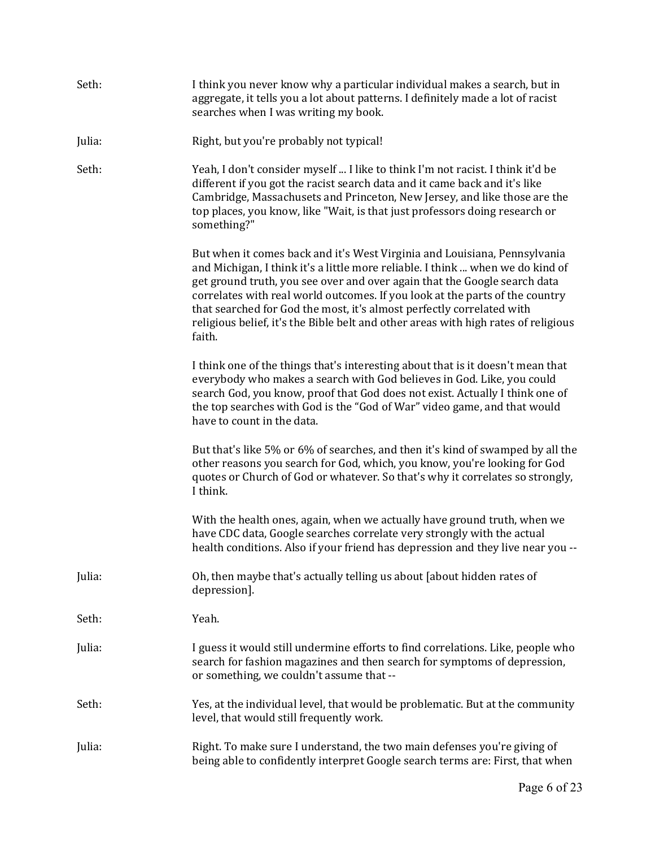| Seth:  | I think you never know why a particular individual makes a search, but in<br>aggregate, it tells you a lot about patterns. I definitely made a lot of racist<br>searches when I was writing my book.                                                                                                                                                                                                                                                                                              |
|--------|---------------------------------------------------------------------------------------------------------------------------------------------------------------------------------------------------------------------------------------------------------------------------------------------------------------------------------------------------------------------------------------------------------------------------------------------------------------------------------------------------|
| Julia: | Right, but you're probably not typical!                                                                                                                                                                                                                                                                                                                                                                                                                                                           |
| Seth:  | Yeah, I don't consider myself  I like to think I'm not racist. I think it'd be<br>different if you got the racist search data and it came back and it's like<br>Cambridge, Massachusets and Princeton, New Jersey, and like those are the<br>top places, you know, like "Wait, is that just professors doing research or<br>something?"                                                                                                                                                           |
|        | But when it comes back and it's West Virginia and Louisiana, Pennsylvania<br>and Michigan, I think it's a little more reliable. I think  when we do kind of<br>get ground truth, you see over and over again that the Google search data<br>correlates with real world outcomes. If you look at the parts of the country<br>that searched for God the most, it's almost perfectly correlated with<br>religious belief, it's the Bible belt and other areas with high rates of religious<br>faith. |
|        | I think one of the things that's interesting about that is it doesn't mean that<br>everybody who makes a search with God believes in God. Like, you could<br>search God, you know, proof that God does not exist. Actually I think one of<br>the top searches with God is the "God of War" video game, and that would<br>have to count in the data.                                                                                                                                               |
|        | But that's like 5% or 6% of searches, and then it's kind of swamped by all the<br>other reasons you search for God, which, you know, you're looking for God<br>quotes or Church of God or whatever. So that's why it correlates so strongly,<br>I think.                                                                                                                                                                                                                                          |
|        | With the health ones, again, when we actually have ground truth, when we<br>have CDC data, Google searches correlate very strongly with the actual<br>health conditions. Also if your friend has depression and they live near you --                                                                                                                                                                                                                                                             |
| Julia: | Oh, then maybe that's actually telling us about [about hidden rates of<br>depression].                                                                                                                                                                                                                                                                                                                                                                                                            |
| Seth:  | Yeah.                                                                                                                                                                                                                                                                                                                                                                                                                                                                                             |
| Julia: | I guess it would still undermine efforts to find correlations. Like, people who<br>search for fashion magazines and then search for symptoms of depression,<br>or something, we couldn't assume that --                                                                                                                                                                                                                                                                                           |
| Seth:  | Yes, at the individual level, that would be problematic. But at the community<br>level, that would still frequently work.                                                                                                                                                                                                                                                                                                                                                                         |
| Julia: | Right. To make sure I understand, the two main defenses you're giving of<br>being able to confidently interpret Google search terms are: First, that when                                                                                                                                                                                                                                                                                                                                         |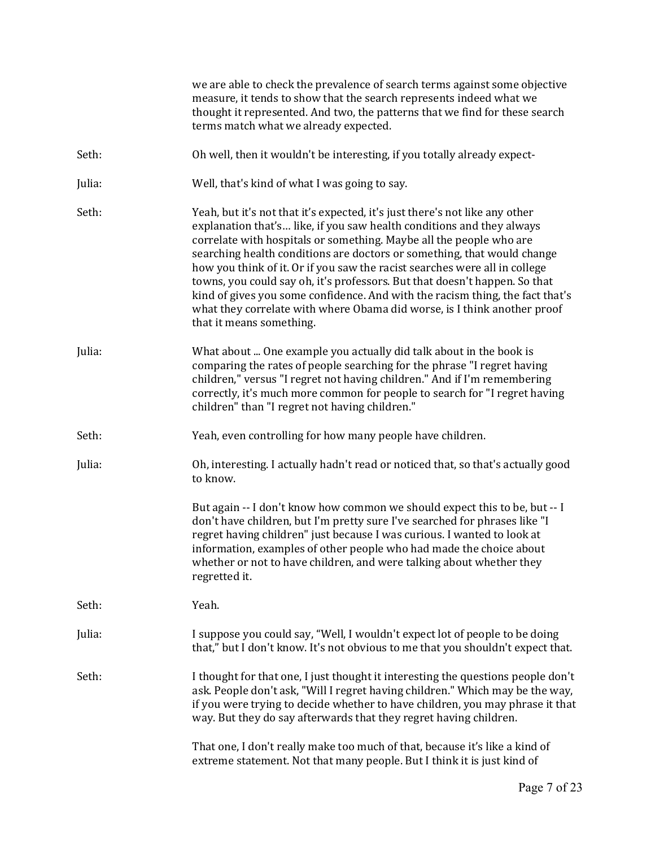|        | we are able to check the prevalence of search terms against some objective<br>measure, it tends to show that the search represents indeed what we<br>thought it represented. And two, the patterns that we find for these search<br>terms match what we already expected.                                                                                                                                                                                                                                                                                                                                                                                   |
|--------|-------------------------------------------------------------------------------------------------------------------------------------------------------------------------------------------------------------------------------------------------------------------------------------------------------------------------------------------------------------------------------------------------------------------------------------------------------------------------------------------------------------------------------------------------------------------------------------------------------------------------------------------------------------|
| Seth:  | Oh well, then it wouldn't be interesting, if you totally already expect-                                                                                                                                                                                                                                                                                                                                                                                                                                                                                                                                                                                    |
| Julia: | Well, that's kind of what I was going to say.                                                                                                                                                                                                                                                                                                                                                                                                                                                                                                                                                                                                               |
| Seth:  | Yeah, but it's not that it's expected, it's just there's not like any other<br>explanation that's like, if you saw health conditions and they always<br>correlate with hospitals or something. Maybe all the people who are<br>searching health conditions are doctors or something, that would change<br>how you think of it. Or if you saw the racist searches were all in college<br>towns, you could say oh, it's professors. But that doesn't happen. So that<br>kind of gives you some confidence. And with the racism thing, the fact that's<br>what they correlate with where Obama did worse, is I think another proof<br>that it means something. |
| Julia: | What about  One example you actually did talk about in the book is<br>comparing the rates of people searching for the phrase "I regret having<br>children," versus "I regret not having children." And if I'm remembering<br>correctly, it's much more common for people to search for "I regret having<br>children" than "I regret not having children."                                                                                                                                                                                                                                                                                                   |
| Seth:  | Yeah, even controlling for how many people have children.                                                                                                                                                                                                                                                                                                                                                                                                                                                                                                                                                                                                   |
| Julia: | Oh, interesting. I actually hadn't read or noticed that, so that's actually good<br>to know.                                                                                                                                                                                                                                                                                                                                                                                                                                                                                                                                                                |
|        | But again -- I don't know how common we should expect this to be, but -- I<br>don't have children, but I'm pretty sure I've searched for phrases like "I<br>regret having children" just because I was curious. I wanted to look at<br>information, examples of other people who had made the choice about<br>whether or not to have children, and were talking about whether they<br>regretted it.                                                                                                                                                                                                                                                         |
| Seth:  | Yeah.                                                                                                                                                                                                                                                                                                                                                                                                                                                                                                                                                                                                                                                       |
| Julia: | I suppose you could say, "Well, I wouldn't expect lot of people to be doing<br>that," but I don't know. It's not obvious to me that you shouldn't expect that.                                                                                                                                                                                                                                                                                                                                                                                                                                                                                              |
| Seth:  | I thought for that one, I just thought it interesting the questions people don't<br>ask. People don't ask, "Will I regret having children." Which may be the way,<br>if you were trying to decide whether to have children, you may phrase it that<br>way. But they do say afterwards that they regret having children.                                                                                                                                                                                                                                                                                                                                     |
|        | That one, I don't really make too much of that, because it's like a kind of<br>extreme statement. Not that many people. But I think it is just kind of                                                                                                                                                                                                                                                                                                                                                                                                                                                                                                      |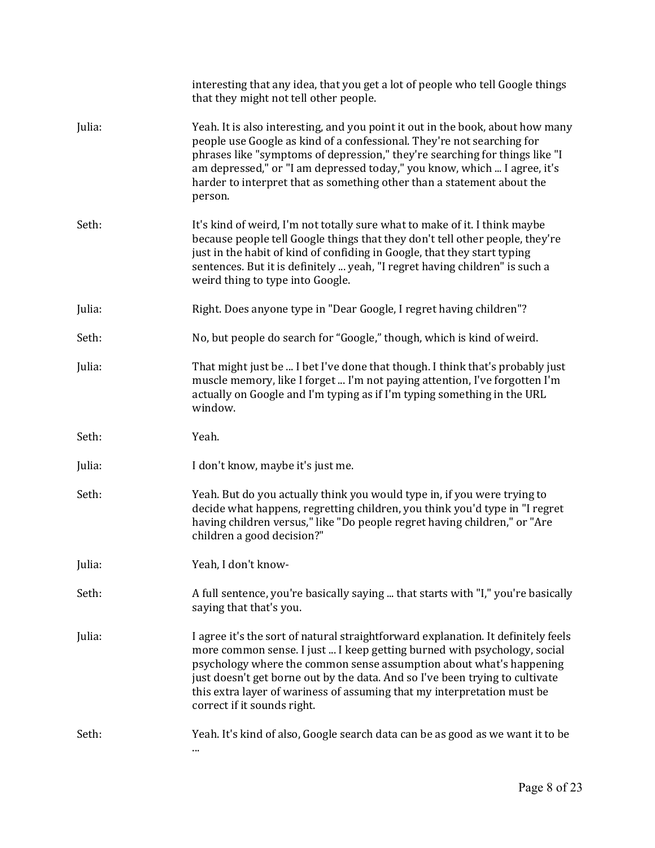|        | interesting that any idea, that you get a lot of people who tell Google things<br>that they might not tell other people.                                                                                                                                                                                                                                                                                                       |
|--------|--------------------------------------------------------------------------------------------------------------------------------------------------------------------------------------------------------------------------------------------------------------------------------------------------------------------------------------------------------------------------------------------------------------------------------|
| Julia: | Yeah. It is also interesting, and you point it out in the book, about how many<br>people use Google as kind of a confessional. They're not searching for<br>phrases like "symptoms of depression," they're searching for things like "I<br>am depressed," or "I am depressed today," you know, which  I agree, it's<br>harder to interpret that as something other than a statement about the<br>person.                       |
| Seth:  | It's kind of weird, I'm not totally sure what to make of it. I think maybe<br>because people tell Google things that they don't tell other people, they're<br>just in the habit of kind of confiding in Google, that they start typing<br>sentences. But it is definitely  yeah, "I regret having children" is such a<br>weird thing to type into Google.                                                                      |
| Julia: | Right. Does anyone type in "Dear Google, I regret having children"?                                                                                                                                                                                                                                                                                                                                                            |
| Seth:  | No, but people do search for "Google," though, which is kind of weird.                                                                                                                                                                                                                                                                                                                                                         |
| Julia: | That might just be  I bet I've done that though. I think that's probably just<br>muscle memory, like I forget  I'm not paying attention, I've forgotten I'm<br>actually on Google and I'm typing as if I'm typing something in the URL<br>window.                                                                                                                                                                              |
| Seth:  | Yeah.                                                                                                                                                                                                                                                                                                                                                                                                                          |
| Julia: | I don't know, maybe it's just me.                                                                                                                                                                                                                                                                                                                                                                                              |
| Seth:  | Yeah. But do you actually think you would type in, if you were trying to<br>decide what happens, regretting children, you think you'd type in "I regret<br>having children versus," like "Do people regret having children," or "Are<br>children a good decision?"                                                                                                                                                             |
| Julia: | Yeah, I don't know-                                                                                                                                                                                                                                                                                                                                                                                                            |
| Seth:  | A full sentence, you're basically saying  that starts with "I," you're basically<br>saying that that's you.                                                                                                                                                                                                                                                                                                                    |
|        |                                                                                                                                                                                                                                                                                                                                                                                                                                |
| Julia: | I agree it's the sort of natural straightforward explanation. It definitely feels<br>more common sense. I just  I keep getting burned with psychology, social<br>psychology where the common sense assumption about what's happening<br>just doesn't get borne out by the data. And so I've been trying to cultivate<br>this extra layer of wariness of assuming that my interpretation must be<br>correct if it sounds right. |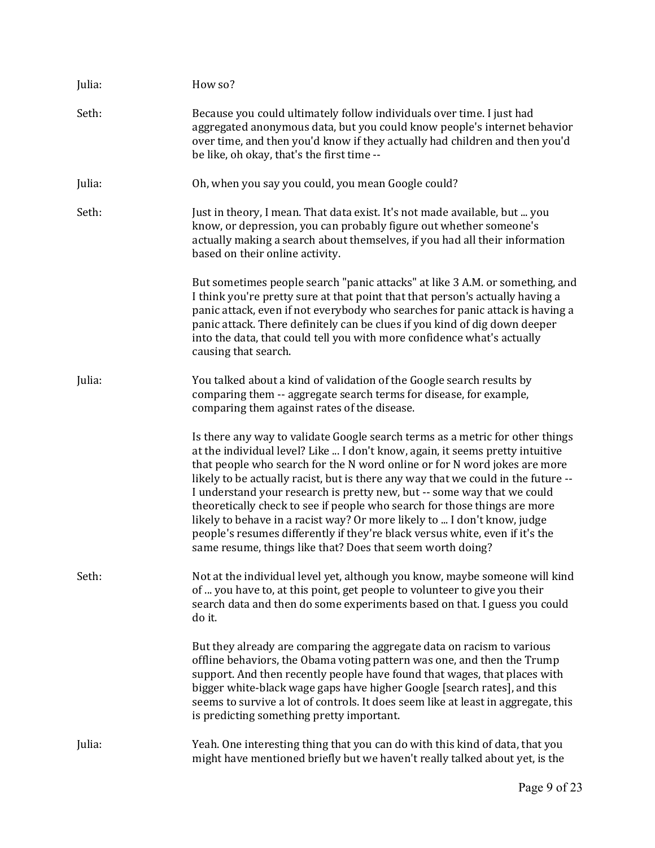| Julia: | How so?                                                                                                                                                                                                                                                                                                                                                                                                                                                                                                                                                                                                                                                                                                            |
|--------|--------------------------------------------------------------------------------------------------------------------------------------------------------------------------------------------------------------------------------------------------------------------------------------------------------------------------------------------------------------------------------------------------------------------------------------------------------------------------------------------------------------------------------------------------------------------------------------------------------------------------------------------------------------------------------------------------------------------|
| Seth:  | Because you could ultimately follow individuals over time. I just had<br>aggregated anonymous data, but you could know people's internet behavior<br>over time, and then you'd know if they actually had children and then you'd<br>be like, oh okay, that's the first time --                                                                                                                                                                                                                                                                                                                                                                                                                                     |
| Julia: | Oh, when you say you could, you mean Google could?                                                                                                                                                                                                                                                                                                                                                                                                                                                                                                                                                                                                                                                                 |
| Seth:  | Just in theory, I mean. That data exist. It's not made available, but  you<br>know, or depression, you can probably figure out whether someone's<br>actually making a search about themselves, if you had all their information<br>based on their online activity.                                                                                                                                                                                                                                                                                                                                                                                                                                                 |
|        | But sometimes people search "panic attacks" at like 3 A.M. or something, and<br>I think you're pretty sure at that point that that person's actually having a<br>panic attack, even if not everybody who searches for panic attack is having a<br>panic attack. There definitely can be clues if you kind of dig down deeper<br>into the data, that could tell you with more confidence what's actually<br>causing that search.                                                                                                                                                                                                                                                                                    |
| Julia: | You talked about a kind of validation of the Google search results by<br>comparing them -- aggregate search terms for disease, for example,<br>comparing them against rates of the disease.                                                                                                                                                                                                                                                                                                                                                                                                                                                                                                                        |
|        | Is there any way to validate Google search terms as a metric for other things<br>at the individual level? Like  I don't know, again, it seems pretty intuitive<br>that people who search for the N word online or for N word jokes are more<br>likely to be actually racist, but is there any way that we could in the future --<br>I understand your research is pretty new, but -- some way that we could<br>theoretically check to see if people who search for those things are more<br>likely to behave in a racist way? Or more likely to  I don't know, judge<br>people's resumes differently if they're black versus white, even if it's the<br>same resume, things like that? Does that seem worth doing? |
| Seth:  | Not at the individual level yet, although you know, maybe someone will kind<br>of  you have to, at this point, get people to volunteer to give you their<br>search data and then do some experiments based on that. I guess you could<br>do it.                                                                                                                                                                                                                                                                                                                                                                                                                                                                    |
|        | But they already are comparing the aggregate data on racism to various<br>offline behaviors, the Obama voting pattern was one, and then the Trump<br>support. And then recently people have found that wages, that places with<br>bigger white-black wage gaps have higher Google [search rates], and this<br>seems to survive a lot of controls. It does seem like at least in aggregate, this<br>is predicting something pretty important.                                                                                                                                                                                                                                                                       |
| Julia: | Yeah. One interesting thing that you can do with this kind of data, that you<br>might have mentioned briefly but we haven't really talked about yet, is the                                                                                                                                                                                                                                                                                                                                                                                                                                                                                                                                                        |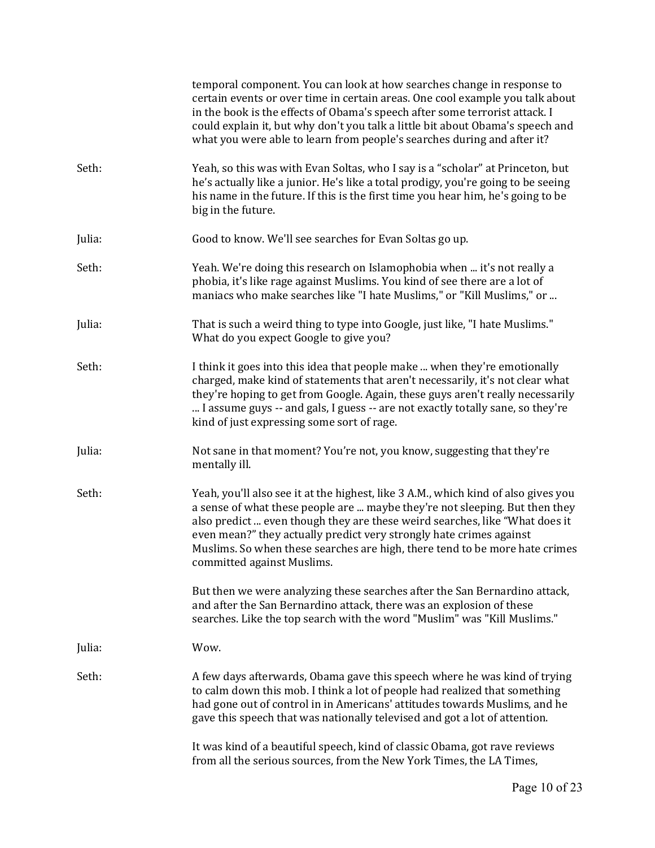|        | temporal component. You can look at how searches change in response to<br>certain events or over time in certain areas. One cool example you talk about<br>in the book is the effects of Obama's speech after some terrorist attack. I<br>could explain it, but why don't you talk a little bit about Obama's speech and<br>what you were able to learn from people's searches during and after it?                                  |
|--------|--------------------------------------------------------------------------------------------------------------------------------------------------------------------------------------------------------------------------------------------------------------------------------------------------------------------------------------------------------------------------------------------------------------------------------------|
| Seth:  | Yeah, so this was with Evan Soltas, who I say is a "scholar" at Princeton, but<br>he's actually like a junior. He's like a total prodigy, you're going to be seeing<br>his name in the future. If this is the first time you hear him, he's going to be<br>big in the future.                                                                                                                                                        |
| Julia: | Good to know. We'll see searches for Evan Soltas go up.                                                                                                                                                                                                                                                                                                                                                                              |
| Seth:  | Yeah. We're doing this research on Islamophobia when  it's not really a<br>phobia, it's like rage against Muslims. You kind of see there are a lot of<br>maniacs who make searches like "I hate Muslims," or "Kill Muslims," or                                                                                                                                                                                                      |
| Julia: | That is such a weird thing to type into Google, just like, "I hate Muslims."<br>What do you expect Google to give you?                                                                                                                                                                                                                                                                                                               |
| Seth:  | I think it goes into this idea that people make  when they're emotionally<br>charged, make kind of statements that aren't necessarily, it's not clear what<br>they're hoping to get from Google. Again, these guys aren't really necessarily<br>I assume guys -- and gals, I guess -- are not exactly totally sane, so they're<br>kind of just expressing some sort of rage.                                                         |
| Julia: | Not sane in that moment? You're not, you know, suggesting that they're<br>mentally ill.                                                                                                                                                                                                                                                                                                                                              |
| Seth:  | Yeah, you'll also see it at the highest, like 3 A.M., which kind of also gives you<br>a sense of what these people are  maybe they're not sleeping. But then they<br>also predict  even though they are these weird searches, like "What does it<br>even mean?" they actually predict very strongly hate crimes against<br>Muslims. So when these searches are high, there tend to be more hate crimes<br>committed against Muslims. |
|        | But then we were analyzing these searches after the San Bernardino attack,<br>and after the San Bernardino attack, there was an explosion of these<br>searches. Like the top search with the word "Muslim" was "Kill Muslims."                                                                                                                                                                                                       |
| Julia: | Wow.                                                                                                                                                                                                                                                                                                                                                                                                                                 |
| Seth:  | A few days afterwards, Obama gave this speech where he was kind of trying<br>to calm down this mob. I think a lot of people had realized that something<br>had gone out of control in in Americans' attitudes towards Muslims, and he<br>gave this speech that was nationally televised and got a lot of attention.                                                                                                                  |
|        | It was kind of a beautiful speech, kind of classic Obama, got rave reviews<br>from all the serious sources, from the New York Times, the LA Times,                                                                                                                                                                                                                                                                                   |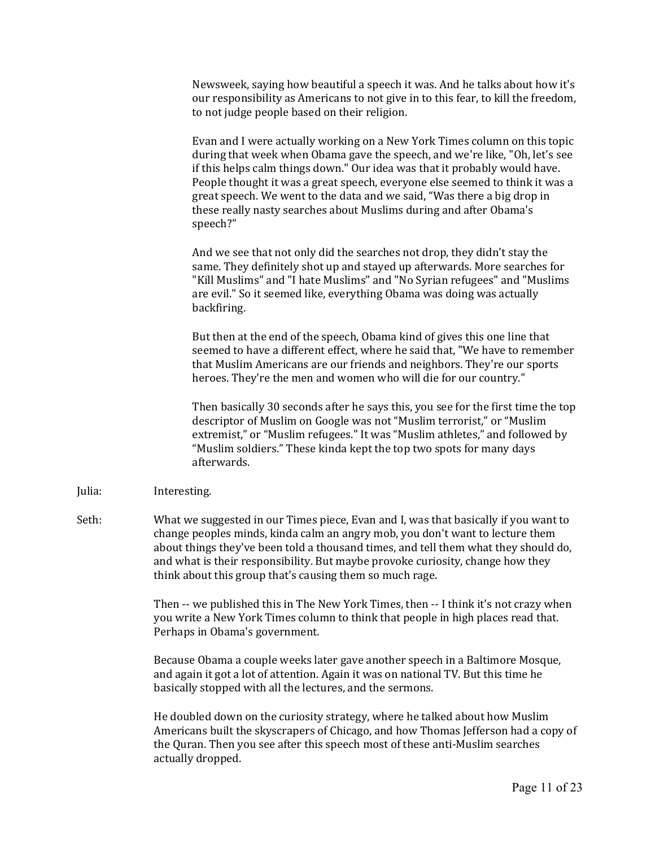Newsweek, saying how beautiful a speech it was. And he talks about how it's our responsibility as Americans to not give in to this fear, to kill the freedom, to not judge people based on their religion.

Evan and I were actually working on a New York Times column on this topic during that week when Obama gave the speech, and we're like, "Oh, let's see if this helps calm things down." Our idea was that it probably would have. People thought it was a great speech, everyone else seemed to think it was a great speech. We went to the data and we said, "Was there a big drop in these really nasty searches about Muslims during and after Obama's speech?"

And we see that not only did the searches not drop, they didn't stay the same. They definitely shot up and stayed up afterwards. More searches for "Kill Muslims" and "I hate Muslims" and "No Syrian refugees" and "Muslims are evil." So it seemed like, everything Obama was doing was actually backfiring.

But then at the end of the speech, Obama kind of gives this one line that seemed to have a different effect, where he said that, "We have to remember that Muslim Americans are our friends and neighbors. They're our sports heroes. They're the men and women who will die for our country."

Then basically 30 seconds after he says this, you see for the first time the top descriptor of Muslim on Google was not "Muslim terrorist," or "Muslim extremist," or "Muslim refugees." It was "Muslim athletes," and followed by "Muslim soldiers." These kinda kept the top two spots for many days afterwards.

## Julia: Interesting.

Seth: What we suggested in our Times piece, Evan and I, was that basically if you want to change peoples minds, kinda calm an angry mob, you don't want to lecture them about things they've been told a thousand times, and tell them what they should do, and what is their responsibility. But maybe provoke curiosity, change how they think about this group that's causing them so much rage.

> Then -- we published this in The New York Times, then -- I think it's not crazy when you write a New York Times column to think that people in high places read that. Perhaps in Obama's government.

Because Obama a couple weeks later gave another speech in a Baltimore Mosque, and again it got a lot of attention. Again it was on national TV. But this time he basically stopped with all the lectures, and the sermons.

He doubled down on the curiosity strategy, where he talked about how Muslim Americans built the skyscrapers of Chicago, and how Thomas Jefferson had a copy of the Quran. Then you see after this speech most of these anti-Muslim searches actually dropped.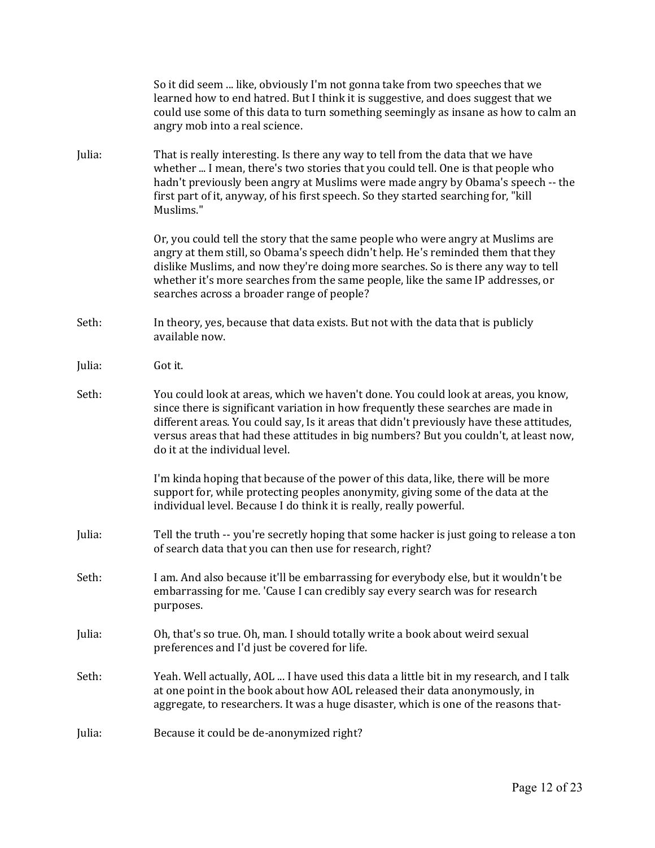|        | So it did seem  like, obviously I'm not gonna take from two speeches that we<br>learned how to end hatred. But I think it is suggestive, and does suggest that we<br>could use some of this data to turn something seemingly as insane as how to calm an<br>angry mob into a real science.                                                                                                     |
|--------|------------------------------------------------------------------------------------------------------------------------------------------------------------------------------------------------------------------------------------------------------------------------------------------------------------------------------------------------------------------------------------------------|
| Julia: | That is really interesting. Is there any way to tell from the data that we have<br>whether  I mean, there's two stories that you could tell. One is that people who<br>hadn't previously been angry at Muslims were made angry by Obama's speech -- the<br>first part of it, anyway, of his first speech. So they started searching for, "kill<br>Muslims."                                    |
|        | Or, you could tell the story that the same people who were angry at Muslims are<br>angry at them still, so Obama's speech didn't help. He's reminded them that they<br>dislike Muslims, and now they're doing more searches. So is there any way to tell<br>whether it's more searches from the same people, like the same IP addresses, or<br>searches across a broader range of people?      |
| Seth:  | In theory, yes, because that data exists. But not with the data that is publicly<br>available now.                                                                                                                                                                                                                                                                                             |
| Julia: | Got it.                                                                                                                                                                                                                                                                                                                                                                                        |
| Seth:  | You could look at areas, which we haven't done. You could look at areas, you know,<br>since there is significant variation in how frequently these searches are made in<br>different areas. You could say, Is it areas that didn't previously have these attitudes,<br>versus areas that had these attitudes in big numbers? But you couldn't, at least now,<br>do it at the individual level. |
|        | I'm kinda hoping that because of the power of this data, like, there will be more<br>support for, while protecting peoples anonymity, giving some of the data at the<br>individual level. Because I do think it is really, really powerful.                                                                                                                                                    |
| Julia: | Tell the truth -- you're secretly hoping that some hacker is just going to release a ton<br>of search data that you can then use for research, right?                                                                                                                                                                                                                                          |
| Seth:  | I am. And also because it'll be embarrassing for everybody else, but it wouldn't be<br>embarrassing for me. 'Cause I can credibly say every search was for research<br>purposes.                                                                                                                                                                                                               |
| Julia: | Oh, that's so true. Oh, man. I should totally write a book about weird sexual<br>preferences and I'd just be covered for life.                                                                                                                                                                                                                                                                 |
| Seth:  | Yeah. Well actually, AOL  I have used this data a little bit in my research, and I talk<br>at one point in the book about how AOL released their data anonymously, in<br>aggregate, to researchers. It was a huge disaster, which is one of the reasons that-                                                                                                                                  |
| Julia: | Because it could be de-anonymized right?                                                                                                                                                                                                                                                                                                                                                       |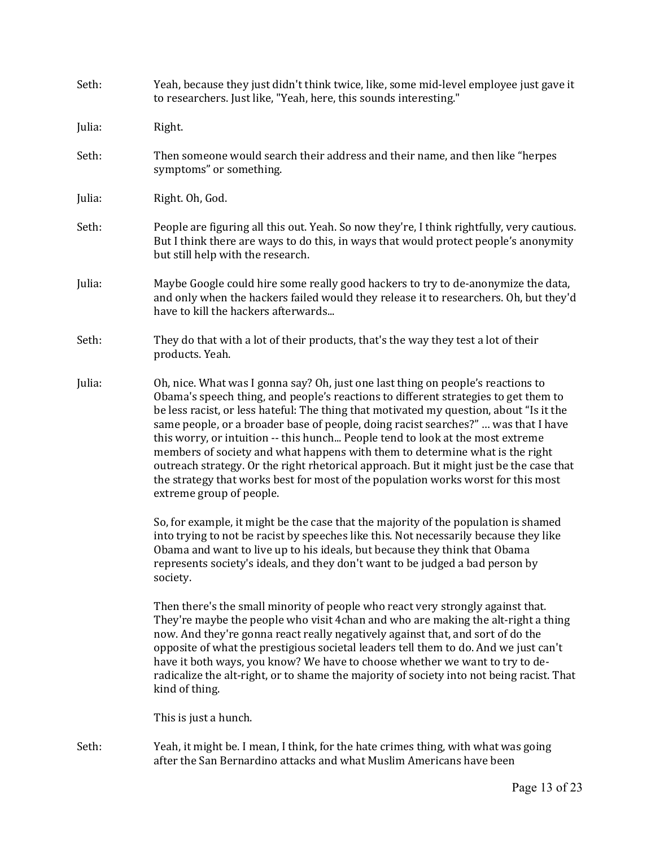| Seth:  | Yeah, because they just didn't think twice, like, some mid-level employee just gave it<br>to researchers. Just like, "Yeah, here, this sounds interesting."                                                                                                                                                                                                                                                                                                                                                                                                                                                                                                                                                                            |  |
|--------|----------------------------------------------------------------------------------------------------------------------------------------------------------------------------------------------------------------------------------------------------------------------------------------------------------------------------------------------------------------------------------------------------------------------------------------------------------------------------------------------------------------------------------------------------------------------------------------------------------------------------------------------------------------------------------------------------------------------------------------|--|
| Julia: | Right.                                                                                                                                                                                                                                                                                                                                                                                                                                                                                                                                                                                                                                                                                                                                 |  |
| Seth:  | Then someone would search their address and their name, and then like "herpes<br>symptoms" or something.                                                                                                                                                                                                                                                                                                                                                                                                                                                                                                                                                                                                                               |  |
| Julia: | Right. Oh, God.                                                                                                                                                                                                                                                                                                                                                                                                                                                                                                                                                                                                                                                                                                                        |  |
| Seth:  | People are figuring all this out. Yeah. So now they're, I think rightfully, very cautious.<br>But I think there are ways to do this, in ways that would protect people's anonymity<br>but still help with the research.                                                                                                                                                                                                                                                                                                                                                                                                                                                                                                                |  |
| Julia: | Maybe Google could hire some really good hackers to try to de-anonymize the data,<br>and only when the hackers failed would they release it to researchers. Oh, but they'd<br>have to kill the hackers afterwards                                                                                                                                                                                                                                                                                                                                                                                                                                                                                                                      |  |
| Seth:  | They do that with a lot of their products, that's the way they test a lot of their<br>products. Yeah.                                                                                                                                                                                                                                                                                                                                                                                                                                                                                                                                                                                                                                  |  |
| Julia: | Oh, nice. What was I gonna say? Oh, just one last thing on people's reactions to<br>Obama's speech thing, and people's reactions to different strategies to get them to<br>be less racist, or less hateful: The thing that motivated my question, about "Is it the<br>same people, or a broader base of people, doing racist searches?"  was that I have<br>this worry, or intuition -- this hunch People tend to look at the most extreme<br>members of society and what happens with them to determine what is the right<br>outreach strategy. Or the right rhetorical approach. But it might just be the case that<br>the strategy that works best for most of the population works worst for this most<br>extreme group of people. |  |
|        | So, for example, it might be the case that the majority of the population is shamed<br>into trying to not be racist by speeches like this. Not necessarily because they like<br>Obama and want to live up to his ideals, but because they think that Obama<br>represents society's ideals, and they don't want to be judged a bad person by<br>society.                                                                                                                                                                                                                                                                                                                                                                                |  |
|        | Then there's the small minority of people who react very strongly against that.<br>They're maybe the people who visit 4 chan and who are making the alt-right a thing<br>now. And they're gonna react really negatively against that, and sort of do the<br>opposite of what the prestigious societal leaders tell them to do. And we just can't<br>have it both ways, you know? We have to choose whether we want to try to de-<br>radicalize the alt-right, or to shame the majority of society into not being racist. That<br>kind of thing.                                                                                                                                                                                        |  |
|        | This is just a hunch.                                                                                                                                                                                                                                                                                                                                                                                                                                                                                                                                                                                                                                                                                                                  |  |
| Seth:  | Yeah, it might be. I mean, I think, for the hate crimes thing, with what was going<br>after the San Bernardino attacks and what Muslim Americans have been                                                                                                                                                                                                                                                                                                                                                                                                                                                                                                                                                                             |  |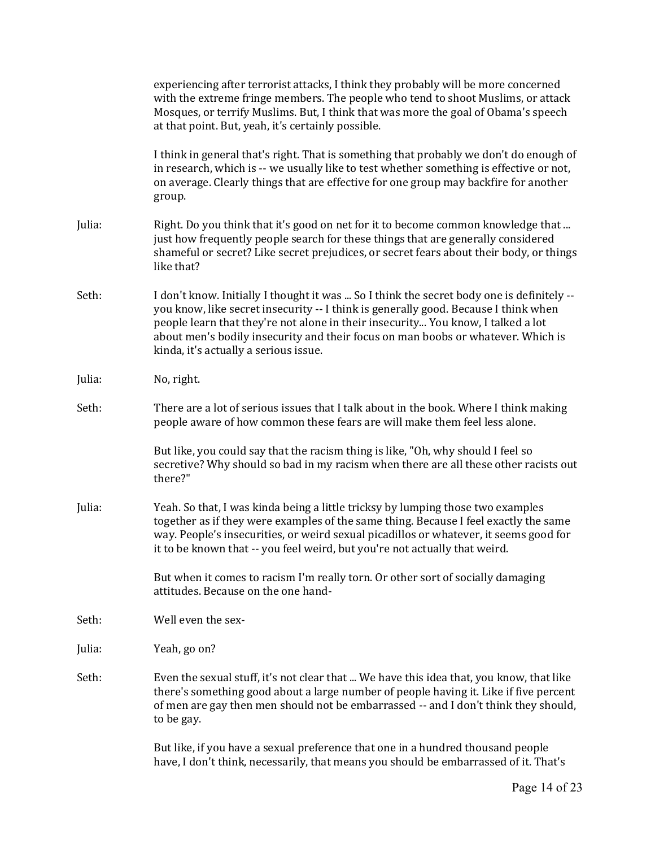|        | experiencing after terrorist attacks, I think they probably will be more concerned<br>with the extreme fringe members. The people who tend to shoot Muslims, or attack<br>Mosques, or terrify Muslims. But, I think that was more the goal of Obama's speech<br>at that point. But, yeah, it's certainly possible.                                                                                |  |
|--------|---------------------------------------------------------------------------------------------------------------------------------------------------------------------------------------------------------------------------------------------------------------------------------------------------------------------------------------------------------------------------------------------------|--|
|        | I think in general that's right. That is something that probably we don't do enough of<br>in research, which is -- we usually like to test whether something is effective or not,<br>on average. Clearly things that are effective for one group may backfire for another<br>group.                                                                                                               |  |
| Julia: | Right. Do you think that it's good on net for it to become common knowledge that<br>just how frequently people search for these things that are generally considered<br>shameful or secret? Like secret prejudices, or secret fears about their body, or things<br>like that?                                                                                                                     |  |
| Seth:  | I don't know. Initially I thought it was  So I think the secret body one is definitely --<br>you know, like secret insecurity -- I think is generally good. Because I think when<br>people learn that they're not alone in their insecurity You know, I talked a lot<br>about men's bodily insecurity and their focus on man boobs or whatever. Which is<br>kinda, it's actually a serious issue. |  |
| Julia: | No, right.                                                                                                                                                                                                                                                                                                                                                                                        |  |
| Seth:  | There are a lot of serious issues that I talk about in the book. Where I think making<br>people aware of how common these fears are will make them feel less alone.                                                                                                                                                                                                                               |  |
|        | But like, you could say that the racism thing is like, "Oh, why should I feel so<br>secretive? Why should so bad in my racism when there are all these other racists out<br>there?"                                                                                                                                                                                                               |  |
| Julia: | Yeah. So that, I was kinda being a little tricksy by lumping those two examples<br>together as if they were examples of the same thing. Because I feel exactly the same<br>way. People's insecurities, or weird sexual picadillos or whatever, it seems good for<br>it to be known that -- you feel weird, but you're not actually that weird.                                                    |  |
|        | But when it comes to racism I'm really torn. Or other sort of socially damaging<br>attitudes. Because on the one hand-                                                                                                                                                                                                                                                                            |  |
| Seth:  | Well even the sex-                                                                                                                                                                                                                                                                                                                                                                                |  |
| Julia: | Yeah, go on?                                                                                                                                                                                                                                                                                                                                                                                      |  |
| Seth:  | Even the sexual stuff, it's not clear that  We have this idea that, you know, that like<br>there's something good about a large number of people having it. Like if five percent<br>of men are gay then men should not be embarrassed -- and I don't think they should,<br>to be gay.                                                                                                             |  |
|        | But like, if you have a sexual preference that one in a hundred thousand people<br>have, I don't think, necessarily, that means you should be embarrassed of it. That's                                                                                                                                                                                                                           |  |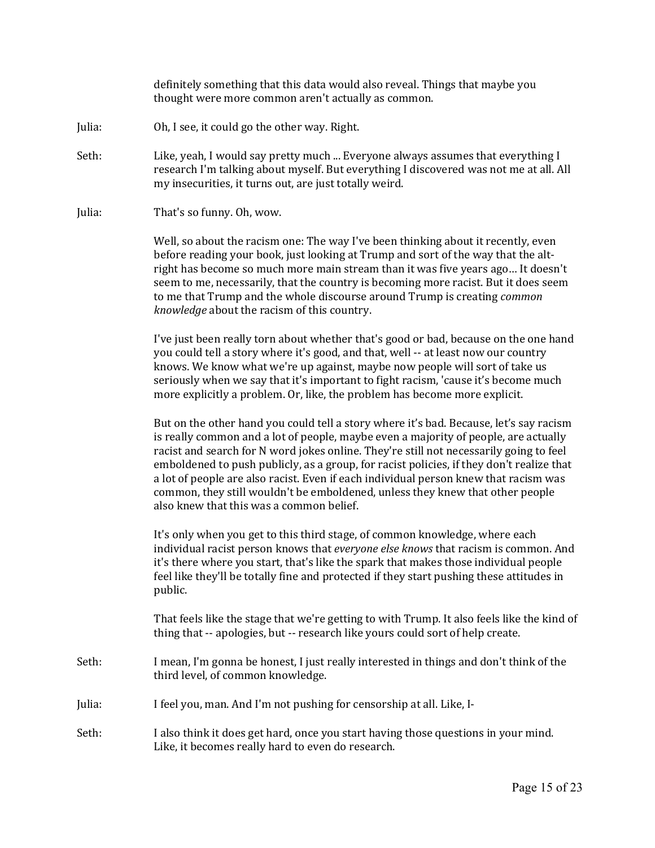definitely something that this data would also reveal. Things that maybe you thought were more common aren't actually as common.

- Julia: Oh, I see, it could go the other way. Right.
- Seth: Like, yeah, I would say pretty much ... Everyone always assumes that everything I research I'm talking about myself. But everything I discovered was not me at all. All my insecurities, it turns out, are just totally weird.
- Julia: That's so funny. Oh, wow.

Well, so about the racism one: The way I've been thinking about it recently, even before reading your book, just looking at Trump and sort of the way that the altright has become so much more main stream than it was five years ago… It doesn't seem to me, necessarily, that the country is becoming more racist. But it does seem to me that Trump and the whole discourse around Trump is creating *common knowledge* about the racism of this country.

I've just been really torn about whether that's good or bad, because on the one hand you could tell a story where it's good, and that, well -- at least now our country knows. We know what we're up against, maybe now people will sort of take us seriously when we say that it's important to fight racism, 'cause it's become much more explicitly a problem. Or, like, the problem has become more explicit.

But on the other hand you could tell a story where it's bad. Because, let's say racism is really common and a lot of people, maybe even a majority of people, are actually racist and search for N word jokes online. They're still not necessarily going to feel emboldened to push publicly, as a group, for racist policies, if they don't realize that a lot of people are also racist. Even if each individual person knew that racism was common, they still wouldn't be emboldened, unless they knew that other people also knew that this was a common belief.

It's only when you get to this third stage, of common knowledge, where each individual racist person knows that *everyone else knows* that racism is common. And it's there where you start, that's like the spark that makes those individual people feel like they'll be totally fine and protected if they start pushing these attitudes in public.

That feels like the stage that we're getting to with Trump. It also feels like the kind of thing that -- apologies, but -- research like yours could sort of help create.

- Seth: I mean, I'm gonna be honest, I just really interested in things and don't think of the third level, of common knowledge.
- Julia: I feel you, man. And I'm not pushing for censorship at all. Like, I-
- Seth: I also think it does get hard, once you start having those questions in your mind. Like, it becomes really hard to even do research.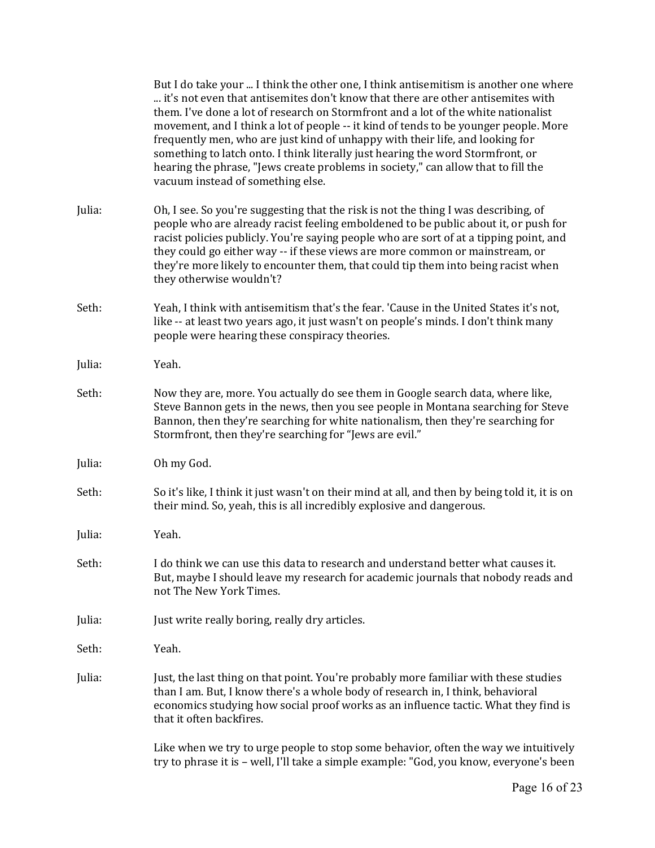|        | But I do take your  I think the other one, I think antisemitism is another one where<br>it's not even that antisemites don't know that there are other antisemites with<br>them. I've done a lot of research on Stormfront and a lot of the white nationalist<br>movement, and I think a lot of people -- it kind of tends to be younger people. More<br>frequently men, who are just kind of unhappy with their life, and looking for<br>something to latch onto. I think literally just hearing the word Stormfront, or<br>hearing the phrase, "Jews create problems in society," can allow that to fill the<br>vacuum instead of something else. |
|--------|-----------------------------------------------------------------------------------------------------------------------------------------------------------------------------------------------------------------------------------------------------------------------------------------------------------------------------------------------------------------------------------------------------------------------------------------------------------------------------------------------------------------------------------------------------------------------------------------------------------------------------------------------------|
| Julia: | Oh, I see. So you're suggesting that the risk is not the thing I was describing, of<br>people who are already racist feeling emboldened to be public about it, or push for<br>racist policies publicly. You're saying people who are sort of at a tipping point, and<br>they could go either way -- if these views are more common or mainstream, or<br>they're more likely to encounter them, that could tip them into being racist when<br>they otherwise wouldn't?                                                                                                                                                                               |
| Seth:  | Yeah, I think with antisemitism that's the fear. 'Cause in the United States it's not,<br>like -- at least two years ago, it just wasn't on people's minds. I don't think many<br>people were hearing these conspiracy theories.                                                                                                                                                                                                                                                                                                                                                                                                                    |
| Julia: | Yeah.                                                                                                                                                                                                                                                                                                                                                                                                                                                                                                                                                                                                                                               |
| Seth:  | Now they are, more. You actually do see them in Google search data, where like,<br>Steve Bannon gets in the news, then you see people in Montana searching for Steve<br>Bannon, then they're searching for white nationalism, then they're searching for<br>Stormfront, then they're searching for "Jews are evil."                                                                                                                                                                                                                                                                                                                                 |
| Julia: | Oh my God.                                                                                                                                                                                                                                                                                                                                                                                                                                                                                                                                                                                                                                          |
| Seth:  | So it's like, I think it just wasn't on their mind at all, and then by being told it, it is on<br>their mind. So, yeah, this is all incredibly explosive and dangerous.                                                                                                                                                                                                                                                                                                                                                                                                                                                                             |
| Julia: | Yeah.                                                                                                                                                                                                                                                                                                                                                                                                                                                                                                                                                                                                                                               |
| Seth:  | I do think we can use this data to research and understand better what causes it.<br>But, maybe I should leave my research for academic journals that nobody reads and<br>not The New York Times.                                                                                                                                                                                                                                                                                                                                                                                                                                                   |
| Julia: | Just write really boring, really dry articles.                                                                                                                                                                                                                                                                                                                                                                                                                                                                                                                                                                                                      |
| Seth:  | Yeah.                                                                                                                                                                                                                                                                                                                                                                                                                                                                                                                                                                                                                                               |
| Julia: | Just, the last thing on that point. You're probably more familiar with these studies<br>than I am. But, I know there's a whole body of research in, I think, behavioral<br>economics studying how social proof works as an influence tactic. What they find is<br>that it often backfires.                                                                                                                                                                                                                                                                                                                                                          |
|        | Like when we try to urge people to stop some behavior, often the way we intuitively<br>try to phrase it is - well, I'll take a simple example: "God, you know, everyone's been                                                                                                                                                                                                                                                                                                                                                                                                                                                                      |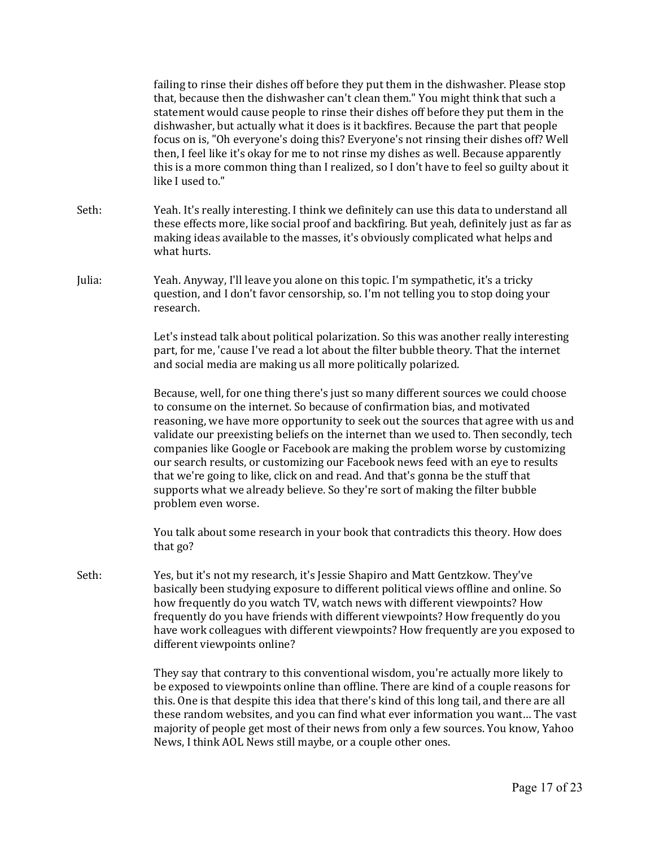|        | failing to rinse their dishes off before they put them in the dishwasher. Please stop<br>that, because then the dishwasher can't clean them." You might think that such a<br>statement would cause people to rinse their dishes off before they put them in the<br>dishwasher, but actually what it does is it backfires. Because the part that people<br>focus on is, "Oh everyone's doing this? Everyone's not rinsing their dishes off? Well<br>then, I feel like it's okay for me to not rinse my dishes as well. Because apparently<br>this is a more common thing than I realized, so I don't have to feel so guilty about it<br>like I used to."                                                          |  |
|--------|------------------------------------------------------------------------------------------------------------------------------------------------------------------------------------------------------------------------------------------------------------------------------------------------------------------------------------------------------------------------------------------------------------------------------------------------------------------------------------------------------------------------------------------------------------------------------------------------------------------------------------------------------------------------------------------------------------------|--|
| Seth:  | Yeah. It's really interesting. I think we definitely can use this data to understand all<br>these effects more, like social proof and backfiring. But yeah, definitely just as far as<br>making ideas available to the masses, it's obviously complicated what helps and<br>what hurts.                                                                                                                                                                                                                                                                                                                                                                                                                          |  |
| Julia: | Yeah. Anyway, I'll leave you alone on this topic. I'm sympathetic, it's a tricky<br>question, and I don't favor censorship, so. I'm not telling you to stop doing your<br>research.                                                                                                                                                                                                                                                                                                                                                                                                                                                                                                                              |  |
|        | Let's instead talk about political polarization. So this was another really interesting<br>part, for me, 'cause I've read a lot about the filter bubble theory. That the internet<br>and social media are making us all more politically polarized.                                                                                                                                                                                                                                                                                                                                                                                                                                                              |  |
|        | Because, well, for one thing there's just so many different sources we could choose<br>to consume on the internet. So because of confirmation bias, and motivated<br>reasoning, we have more opportunity to seek out the sources that agree with us and<br>validate our preexisting beliefs on the internet than we used to. Then secondly, tech<br>companies like Google or Facebook are making the problem worse by customizing<br>our search results, or customizing our Facebook news feed with an eye to results<br>that we're going to like, click on and read. And that's gonna be the stuff that<br>supports what we already believe. So they're sort of making the filter bubble<br>problem even worse. |  |
|        | You talk about some research in your book that contradicts this theory. How does<br>that go?                                                                                                                                                                                                                                                                                                                                                                                                                                                                                                                                                                                                                     |  |
| Seth:  | Yes, but it's not my research, it's Jessie Shapiro and Matt Gentzkow. They've<br>basically been studying exposure to different political views offline and online. So<br>how frequently do you watch TV, watch news with different viewpoints? How<br>frequently do you have friends with different viewpoints? How frequently do you<br>have work colleagues with different viewpoints? How frequently are you exposed to<br>different viewpoints online?                                                                                                                                                                                                                                                       |  |
|        | They say that contrary to this conventional wisdom, you're actually more likely to<br>be exposed to viewpoints online than offline. There are kind of a couple reasons for<br>this. One is that despite this idea that there's kind of this long tail, and there are all<br>these random websites, and you can find what ever information you want The vast<br>majority of people get most of their news from only a few sources. You know, Yahoo<br>News, I think AOL News still maybe, or a couple other ones.                                                                                                                                                                                                 |  |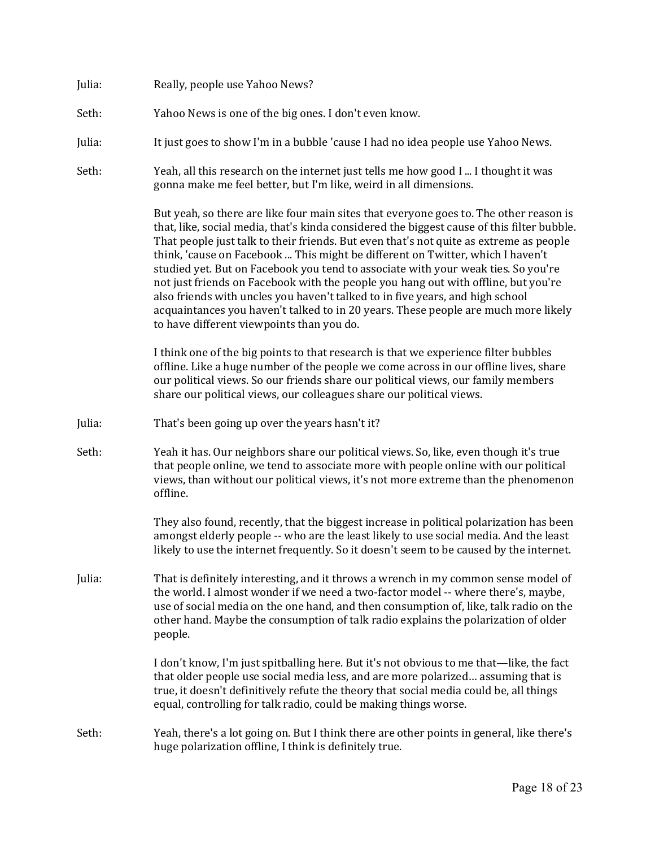| Julia: | Really, people use Yahoo News? |  |
|--------|--------------------------------|--|
|--------|--------------------------------|--|

- Seth: Yahoo News is one of the big ones. I don't even know.
- Julia: It just goes to show I'm in a bubble 'cause I had no idea people use Yahoo News.
- Seth: Yeah, all this research on the internet just tells me how good I ... I thought it was gonna make me feel better, but I'm like, weird in all dimensions.

But yeah, so there are like four main sites that everyone goes to. The other reason is that, like, social media, that's kinda considered the biggest cause of this filter bubble. That people just talk to their friends. But even that's not quite as extreme as people think, 'cause on Facebook ... This might be different on Twitter, which I haven't studied yet. But on Facebook you tend to associate with your weak ties. So you're not just friends on Facebook with the people you hang out with offline, but you're also friends with uncles you haven't talked to in five years, and high school acquaintances you haven't talked to in 20 years. These people are much more likely to have different viewpoints than you do.

I think one of the big points to that research is that we experience filter bubbles offline. Like a huge number of the people we come across in our offline lives, share our political views. So our friends share our political views, our family members share our political views, our colleagues share our political views.

- Julia: That's been going up over the years hasn't it?
- Seth: Yeah it has. Our neighbors share our political views. So, like, even though it's true that people online, we tend to associate more with people online with our political views, than without our political views, it's not more extreme than the phenomenon offline.

They also found, recently, that the biggest increase in political polarization has been amongst elderly people -- who are the least likely to use social media. And the least likely to use the internet frequently. So it doesn't seem to be caused by the internet.

Julia: That is definitely interesting, and it throws a wrench in my common sense model of the world. I almost wonder if we need a two-factor model -- where there's, maybe, use of social media on the one hand, and then consumption of, like, talk radio on the other hand. Maybe the consumption of talk radio explains the polarization of older people.

> I don't know, I'm just spitballing here. But it's not obvious to me that—like, the fact that older people use social media less, and are more polarized… assuming that is true, it doesn't definitively refute the theory that social media could be, all things equal, controlling for talk radio, could be making things worse.

Seth: Yeah, there's a lot going on. But I think there are other points in general, like there's huge polarization offline, I think is definitely true.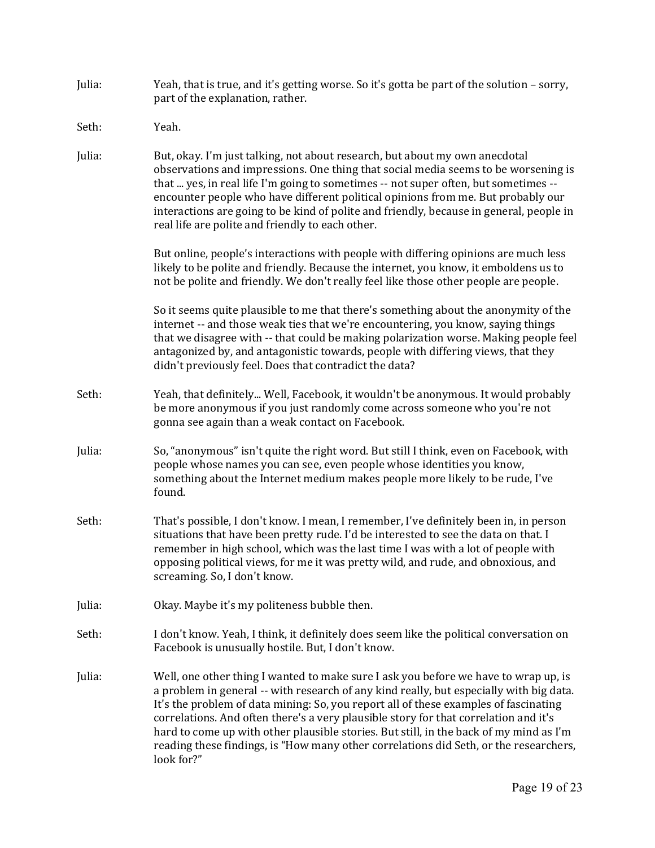| Julia: | Yeah, that is true, and it's getting worse. So it's gotta be part of the solution - sorry,<br>part of the explanation, rather.                                                                                                                                                                                                                                                                                                                                                                                                                                  |
|--------|-----------------------------------------------------------------------------------------------------------------------------------------------------------------------------------------------------------------------------------------------------------------------------------------------------------------------------------------------------------------------------------------------------------------------------------------------------------------------------------------------------------------------------------------------------------------|
| Seth:  | Yeah.                                                                                                                                                                                                                                                                                                                                                                                                                                                                                                                                                           |
| Julia: | But, okay. I'm just talking, not about research, but about my own anecdotal<br>observations and impressions. One thing that social media seems to be worsening is<br>that  yes, in real life I'm going to sometimes -- not super often, but sometimes --<br>encounter people who have different political opinions from me. But probably our<br>interactions are going to be kind of polite and friendly, because in general, people in<br>real life are polite and friendly to each other.                                                                     |
|        | But online, people's interactions with people with differing opinions are much less<br>likely to be polite and friendly. Because the internet, you know, it emboldens us to<br>not be polite and friendly. We don't really feel like those other people are people.                                                                                                                                                                                                                                                                                             |
|        | So it seems quite plausible to me that there's something about the anonymity of the<br>internet -- and those weak ties that we're encountering, you know, saying things<br>that we disagree with -- that could be making polarization worse. Making people feel<br>antagonized by, and antagonistic towards, people with differing views, that they<br>didn't previously feel. Does that contradict the data?                                                                                                                                                   |
| Seth:  | Yeah, that definitely Well, Facebook, it wouldn't be anonymous. It would probably<br>be more anonymous if you just randomly come across someone who you're not<br>gonna see again than a weak contact on Facebook.                                                                                                                                                                                                                                                                                                                                              |
| Julia: | So, "anonymous" isn't quite the right word. But still I think, even on Facebook, with<br>people whose names you can see, even people whose identities you know,<br>something about the Internet medium makes people more likely to be rude, I've<br>found.                                                                                                                                                                                                                                                                                                      |
| Seth:  | That's possible, I don't know. I mean, I remember, I've definitely been in, in person<br>situations that have been pretty rude. I'd be interested to see the data on that. I<br>remember in high school, which was the last time I was with a lot of people with<br>opposing political views, for me it was pretty wild, and rude, and obnoxious, and<br>screaming. So, I don't know.                                                                                                                                                                           |
| Julia: | Okay. Maybe it's my politeness bubble then.                                                                                                                                                                                                                                                                                                                                                                                                                                                                                                                     |
| Seth:  | I don't know. Yeah, I think, it definitely does seem like the political conversation on<br>Facebook is unusually hostile. But, I don't know.                                                                                                                                                                                                                                                                                                                                                                                                                    |
| Julia: | Well, one other thing I wanted to make sure I ask you before we have to wrap up, is<br>a problem in general -- with research of any kind really, but especially with big data.<br>It's the problem of data mining: So, you report all of these examples of fascinating<br>correlations. And often there's a very plausible story for that correlation and it's<br>hard to come up with other plausible stories. But still, in the back of my mind as I'm<br>reading these findings, is "How many other correlations did Seth, or the researchers,<br>look for?" |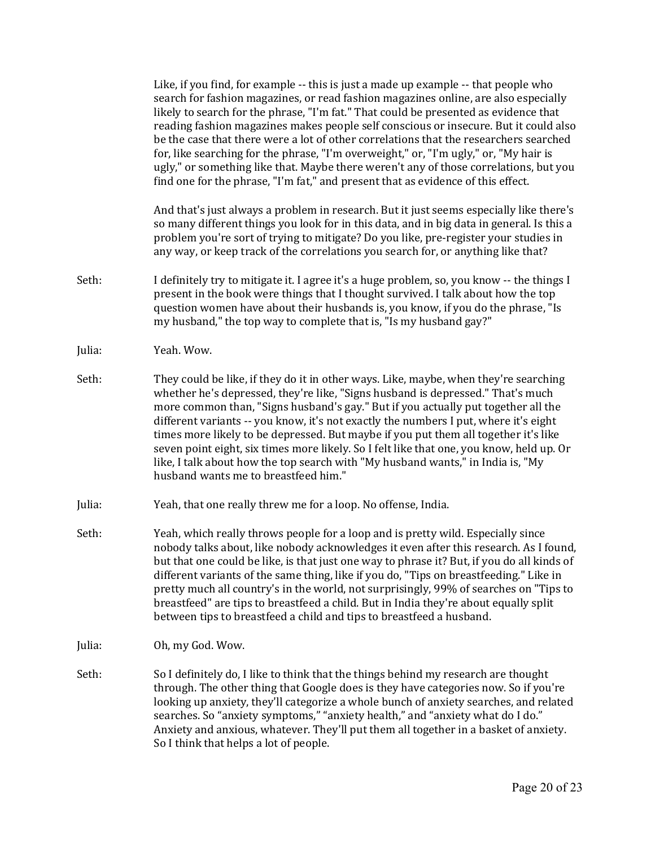Like, if you find, for example -- this is just a made up example -- that people who search for fashion magazines, or read fashion magazines online, are also especially likely to search for the phrase, "I'm fat." That could be presented as evidence that reading fashion magazines makes people self conscious or insecure. But it could also be the case that there were a lot of other correlations that the researchers searched for, like searching for the phrase, "I'm overweight," or, "I'm ugly," or, "My hair is ugly," or something like that. Maybe there weren't any of those correlations, but you find one for the phrase, "I'm fat," and present that as evidence of this effect.

And that's just always a problem in research. But it just seems especially like there's so many different things you look for in this data, and in big data in general. Is this a problem you're sort of trying to mitigate? Do you like, pre-register your studies in any way, or keep track of the correlations you search for, or anything like that?

- Seth: I definitely try to mitigate it. I agree it's a huge problem, so, you know -- the things I present in the book were things that I thought survived. I talk about how the top question women have about their husbands is, you know, if you do the phrase, "Is my husband," the top way to complete that is, "Is my husband gay?"
- Julia: Yeah. Wow.
- Seth: They could be like, if they do it in other ways. Like, maybe, when they're searching whether he's depressed, they're like, "Signs husband is depressed." That's much more common than, "Signs husband's gay." But if you actually put together all the different variants -- you know, it's not exactly the numbers I put, where it's eight times more likely to be depressed. But maybe if you put them all together it's like seven point eight, six times more likely. So I felt like that one, you know, held up. Or like, I talk about how the top search with "My husband wants," in India is, "My husband wants me to breastfeed him."
- Julia: Yeah, that one really threw me for a loop. No offense, India.
- Seth: Yeah, which really throws people for a loop and is pretty wild. Especially since nobody talks about, like nobody acknowledges it even after this research. As I found, but that one could be like, is that just one way to phrase it? But, if you do all kinds of different variants of the same thing, like if you do, "Tips on breastfeeding." Like in pretty much all country's in the world, not surprisingly, 99% of searches on "Tips to breastfeed" are tips to breastfeed a child. But in India they're about equally split between tips to breastfeed a child and tips to breastfeed a husband.
- Julia: Oh, my God. Wow.
- Seth: So I definitely do, I like to think that the things behind my research are thought through. The other thing that Google does is they have categories now. So if you're looking up anxiety, they'll categorize a whole bunch of anxiety searches, and related searches. So "anxiety symptoms," "anxiety health," and "anxiety what do I do." Anxiety and anxious, whatever. They'll put them all together in a basket of anxiety. So I think that helps a lot of people.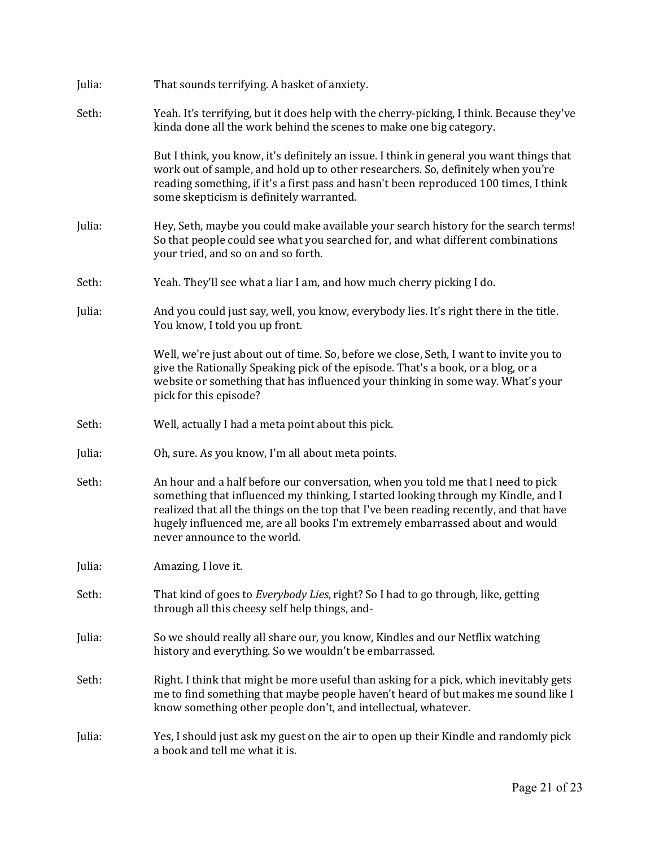| Julia: | That sounds terrifying. A basket of anxiety.                                                                                                                                                                                                                                                                                                                                     |
|--------|----------------------------------------------------------------------------------------------------------------------------------------------------------------------------------------------------------------------------------------------------------------------------------------------------------------------------------------------------------------------------------|
| Seth:  | Yeah. It's terrifying, but it does help with the cherry-picking, I think. Because they've<br>kinda done all the work behind the scenes to make one big category.                                                                                                                                                                                                                 |
|        | But I think, you know, it's definitely an issue. I think in general you want things that<br>work out of sample, and hold up to other researchers. So, definitely when you're<br>reading something, if it's a first pass and hasn't been reproduced 100 times, I think<br>some skepticism is definitely warranted.                                                                |
| Julia: | Hey, Seth, maybe you could make available your search history for the search terms!<br>So that people could see what you searched for, and what different combinations<br>your tried, and so on and so forth.                                                                                                                                                                    |
| Seth:  | Yeah. They'll see what a liar I am, and how much cherry picking I do.                                                                                                                                                                                                                                                                                                            |
| Julia: | And you could just say, well, you know, everybody lies. It's right there in the title.<br>You know, I told you up front.                                                                                                                                                                                                                                                         |
|        | Well, we're just about out of time. So, before we close, Seth, I want to invite you to<br>give the Rationally Speaking pick of the episode. That's a book, or a blog, or a<br>website or something that has influenced your thinking in some way. What's your<br>pick for this episode?                                                                                          |
| Seth:  | Well, actually I had a meta point about this pick.                                                                                                                                                                                                                                                                                                                               |
| Julia: | Oh, sure. As you know, I'm all about meta points.                                                                                                                                                                                                                                                                                                                                |
| Seth:  | An hour and a half before our conversation, when you told me that I need to pick<br>something that influenced my thinking, I started looking through my Kindle, and I<br>realized that all the things on the top that I've been reading recently, and that have<br>hugely influenced me, are all books I'm extremely embarrassed about and would<br>never announce to the world. |
| Julia: | Amazing, I love it.                                                                                                                                                                                                                                                                                                                                                              |
| Seth:  | That kind of goes to <i>Everybody Lies</i> , right? So I had to go through, like, getting<br>through all this cheesy self help things, and-                                                                                                                                                                                                                                      |
| Julia: | So we should really all share our, you know, Kindles and our Netflix watching<br>history and everything. So we wouldn't be embarrassed.                                                                                                                                                                                                                                          |
| Seth:  | Right. I think that might be more useful than asking for a pick, which inevitably gets<br>me to find something that maybe people haven't heard of but makes me sound like I<br>know something other people don't, and intellectual, whatever.                                                                                                                                    |
| Julia: | Yes, I should just ask my guest on the air to open up their Kindle and randomly pick<br>a book and tell me what it is.                                                                                                                                                                                                                                                           |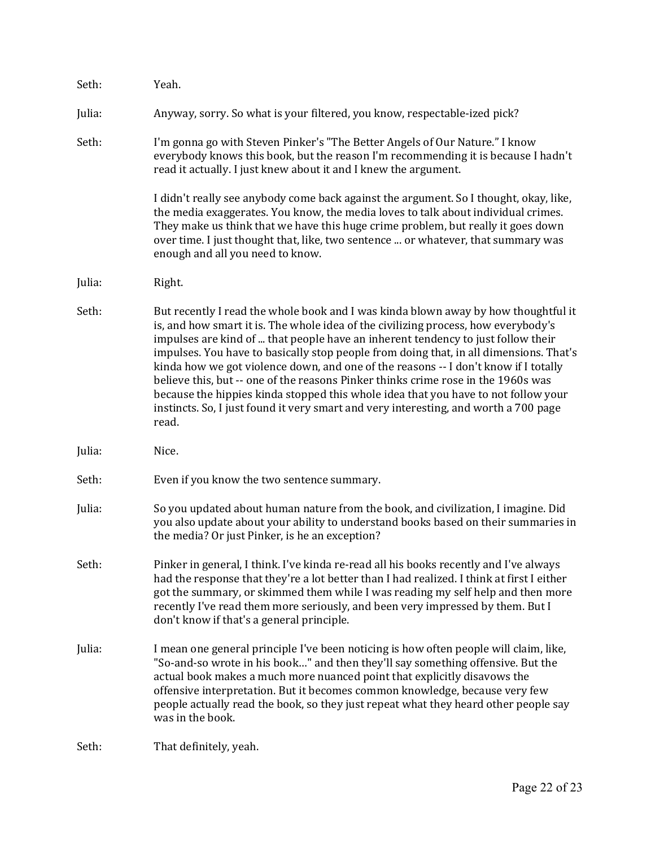| Seth:  | Yeah.                                                                                                                                                                                                                                                                                                                                                                                                                                                                                                                                                                                                                                                                                                                     |
|--------|---------------------------------------------------------------------------------------------------------------------------------------------------------------------------------------------------------------------------------------------------------------------------------------------------------------------------------------------------------------------------------------------------------------------------------------------------------------------------------------------------------------------------------------------------------------------------------------------------------------------------------------------------------------------------------------------------------------------------|
| Julia: | Anyway, sorry. So what is your filtered, you know, respectable-ized pick?                                                                                                                                                                                                                                                                                                                                                                                                                                                                                                                                                                                                                                                 |
| Seth:  | I'm gonna go with Steven Pinker's "The Better Angels of Our Nature." I know<br>everybody knows this book, but the reason I'm recommending it is because I hadn't<br>read it actually. I just knew about it and I knew the argument.                                                                                                                                                                                                                                                                                                                                                                                                                                                                                       |
|        | I didn't really see anybody come back against the argument. So I thought, okay, like,<br>the media exaggerates. You know, the media loves to talk about individual crimes.<br>They make us think that we have this huge crime problem, but really it goes down<br>over time. I just thought that, like, two sentence  or whatever, that summary was<br>enough and all you need to know.                                                                                                                                                                                                                                                                                                                                   |
| Julia: | Right.                                                                                                                                                                                                                                                                                                                                                                                                                                                                                                                                                                                                                                                                                                                    |
| Seth:  | But recently I read the whole book and I was kinda blown away by how thoughtful it<br>is, and how smart it is. The whole idea of the civilizing process, how everybody's<br>impulses are kind of  that people have an inherent tendency to just follow their<br>impulses. You have to basically stop people from doing that, in all dimensions. That's<br>kinda how we got violence down, and one of the reasons -- I don't know if I totally<br>believe this, but -- one of the reasons Pinker thinks crime rose in the 1960s was<br>because the hippies kinda stopped this whole idea that you have to not follow your<br>instincts. So, I just found it very smart and very interesting, and worth a 700 page<br>read. |
| Julia: | Nice.                                                                                                                                                                                                                                                                                                                                                                                                                                                                                                                                                                                                                                                                                                                     |
| Seth:  | Even if you know the two sentence summary.                                                                                                                                                                                                                                                                                                                                                                                                                                                                                                                                                                                                                                                                                |
| Julia: | So you updated about human nature from the book, and civilization, I imagine. Did<br>you also update about your ability to understand books based on their summaries in<br>the media? Or just Pinker, is he an exception?                                                                                                                                                                                                                                                                                                                                                                                                                                                                                                 |
| Seth:  | Pinker in general, I think. I've kinda re-read all his books recently and I've always<br>had the response that they're a lot better than I had realized. I think at first I either<br>got the summary, or skimmed them while I was reading my self help and then more<br>recently I've read them more seriously, and been very impressed by them. But I<br>don't know if that's a general principle.                                                                                                                                                                                                                                                                                                                      |
| Julia: | I mean one general principle I've been noticing is how often people will claim, like,<br>"So-and-so wrote in his book" and then they'll say something offensive. But the<br>actual book makes a much more nuanced point that explicitly disavows the<br>offensive interpretation. But it becomes common knowledge, because very few<br>people actually read the book, so they just repeat what they heard other people say<br>was in the book.                                                                                                                                                                                                                                                                            |
| Seth:  | That definitely, yeah.                                                                                                                                                                                                                                                                                                                                                                                                                                                                                                                                                                                                                                                                                                    |